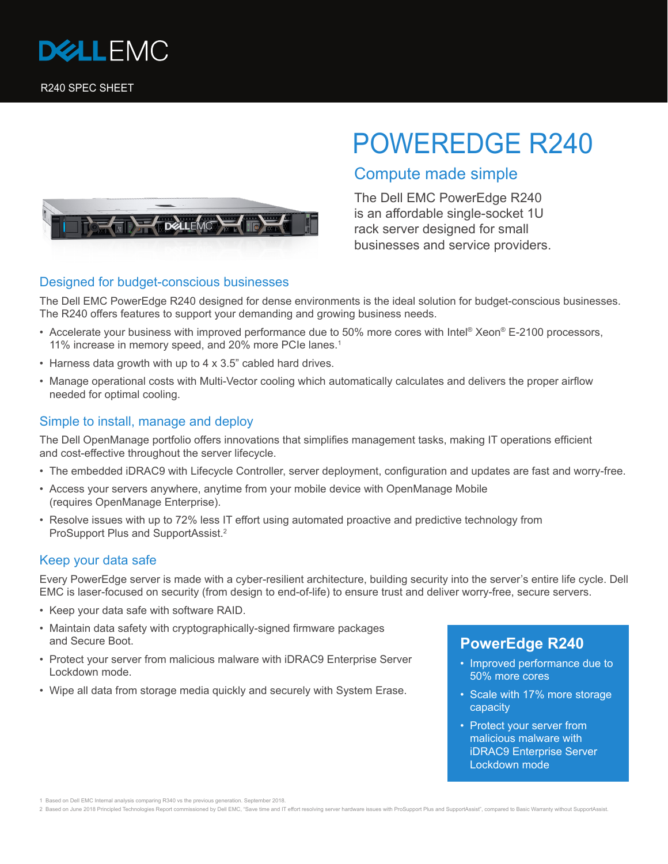

# POWEREDGE R240





# **F** DALLEMOT

### Designed for budget-conscious businesses

The Dell EMC PowerEdge R240 designed for dense environments is the ideal solution for budget-conscious businesses. The R240 offers features to support your demanding and growing business needs.

- Accelerate your business with improved performance due to 50% more cores with Intel® Xeon® E-2100 processors, 11% increase in memory speed, and 20% more PCIe lanes.<sup>1</sup>
- Harness data growth with up to 4 x 3.5" cabled hard drives.
- Manage operational costs with Multi-Vector cooling which automatically calculates and delivers the proper airflow needed for optimal cooling.

#### Simple to install, manage and deploy

The Dell OpenManage portfolio offers innovations that simplifies management tasks, making IT operations efficient and cost-effective throughout the server lifecycle.

- The embedded iDRAC9 with Lifecycle Controller, server deployment, configuration and updates are fast and worry-free.
- Access your servers anywhere, anytime from your mobile device with OpenManage Mobile (requires OpenManage Enterprise).
- Resolve issues with up to 72% less IT effort using automated proactive and predictive technology from ProSupport Plus and SupportAssist.2

#### Keep your data safe

Every PowerEdge server is made with a cyber-resilient architecture, building security into the server's entire life cycle. Dell EMC is laser-focused on security (from design to end-of-life) to ensure trust and deliver worry-free, secure servers.

- Keep your data safe with software RAID.
- Maintain data safety with cryptographically-signed firmware packages and Secure Boot.
- Protect your server from malicious malware with iDRAC9 Enterprise Server Lockdown mode.
- Wipe all data from storage media quickly and securely with System Erase.

## **PowerEdge R240**

- Improved performance due to 50% more cores
- Scale with 17% more storage capacity
- Protect your server from malicious malware with iDRAC9 Enterprise Server Lockdown mode

2 Based on June 2018 Principled Technologies Report commissioned by Dell EMC, "Save time and IT effort resolving server hardware issues with ProSupport Plus and SupportAssist", compared to Basic Warranty without SupportAss

<sup>1</sup> Based on Dell EMC Internal analysis comparing R340 vs the previous generation. September 2018.